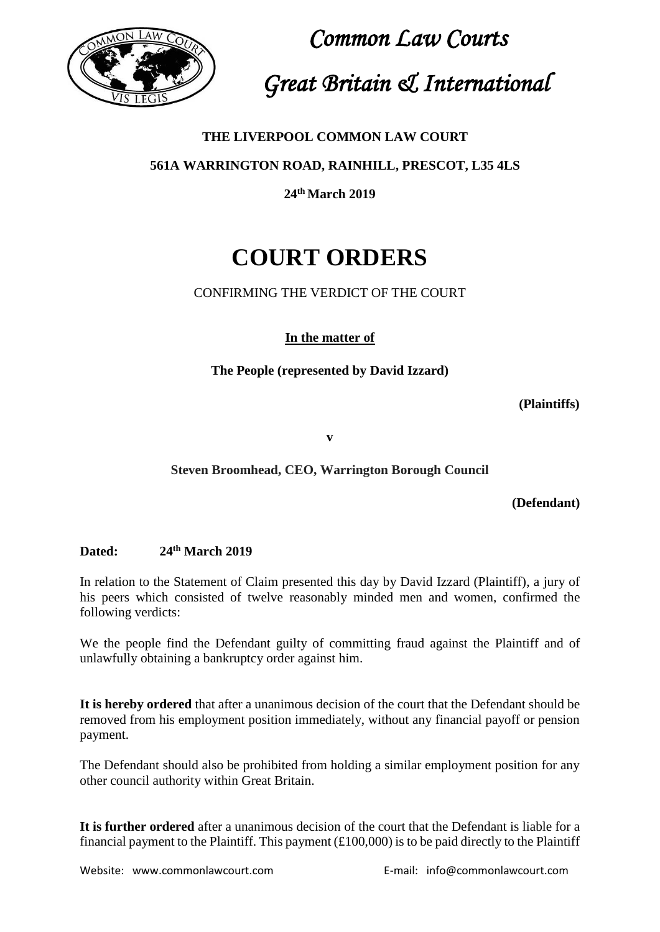

 *Common Law Courts Great Britain & International*

#### **THE LIVERPOOL COMMON LAW COURT**

**561A WARRINGTON ROAD, RAINHILL, PRESCOT, L35 4LS**

**24th March 2019**

## **COURT ORDERS**

#### CONFIRMING THE VERDICT OF THE COURT

**In the matter of**

**The People (represented by David Izzard)**

 **(Plaintiffs)**

**v**

#### **Steven Broomhead, CEO, Warrington Borough Council**

**(Defendant)**

#### **Dated: 24th March 2019**

In relation to the Statement of Claim presented this day by David Izzard (Plaintiff), a jury of his peers which consisted of twelve reasonably minded men and women, confirmed the following verdicts:

We the people find the Defendant guilty of committing fraud against the Plaintiff and of unlawfully obtaining a bankruptcy order against him.

**It is hereby ordered** that after a unanimous decision of the court that the Defendant should be removed from his employment position immediately, without any financial payoff or pension payment.

The Defendant should also be prohibited from holding a similar employment position for any other council authority within Great Britain.

**It is further ordered** after a unanimous decision of the court that the Defendant is liable for a financial payment to the Plaintiff. This payment  $(E100,000)$  is to be paid directly to the Plaintiff